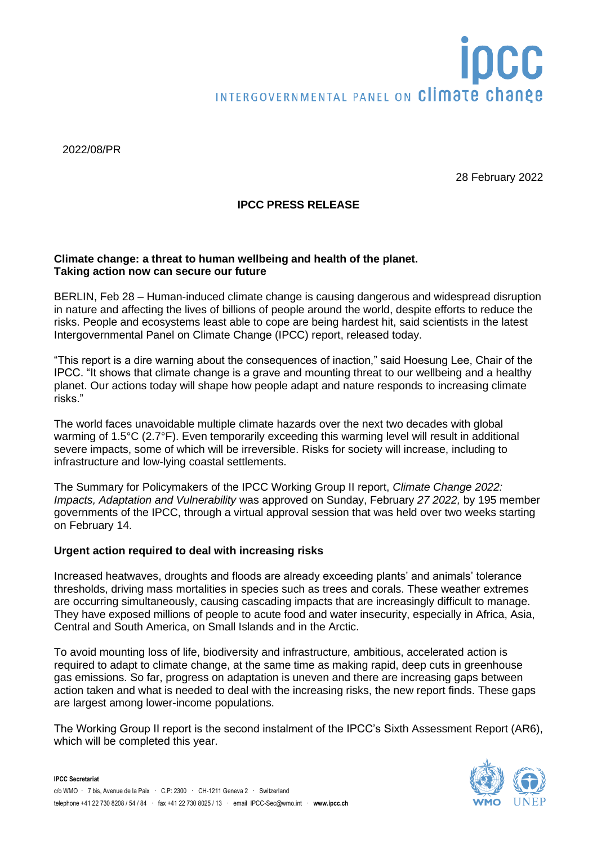# OCC INTERGOVERNMENTAL PANEL ON Climate change

2022/08/PR

28 February 2022

# **IPCC PRESS RELEASE**

#### **Climate change: a threat to human wellbeing and health of the planet. Taking action now can secure our future**

BERLIN, Feb 28 – Human-induced climate change is causing dangerous and widespread disruption in nature and affecting the lives of billions of people around the world, despite efforts to reduce the risks. People and ecosystems least able to cope are being hardest hit, said scientists in the latest Intergovernmental Panel on Climate Change (IPCC) report, released today.

"This report is a dire warning about the consequences of inaction," said Hoesung Lee, Chair of the IPCC. "It shows that climate change is a grave and mounting threat to our wellbeing and a healthy planet. Our actions today will shape how people adapt and nature responds to increasing climate risks."

The world faces unavoidable multiple climate hazards over the next two decades with global warming of 1.5°C (2.7°F). Even temporarily exceeding this warming level will result in additional severe impacts, some of which will be irreversible. Risks for society will increase, including to infrastructure and low-lying coastal settlements.

The Summary for Policymakers of the IPCC Working Group II report, *Climate Change 2022: Impacts, Adaptation and Vulnerability* was approved on Sunday, February *27 2022,* by 195 member governments of the IPCC, through a virtual approval session that was held over two weeks starting on February 14.

#### **Urgent action required to deal with increasing risks**

Increased heatwaves, droughts and floods are already exceeding plants' and animals' tolerance thresholds, driving mass mortalities in species such as trees and corals. These weather extremes are occurring simultaneously, causing cascading impacts that are increasingly difficult to manage. They have exposed millions of people to acute food and water insecurity, especially in Africa, Asia, Central and South America, on Small Islands and in the Arctic.

To avoid mounting loss of life, biodiversity and infrastructure, ambitious, accelerated action is required to adapt to climate change, at the same time as making rapid, deep cuts in greenhouse gas emissions. So far, progress on adaptation is uneven and there are increasing gaps between action taken and what is needed to deal with the increasing risks, the new report finds. These gaps are largest among lower-income populations.

The Working Group II report is the second instalment of the IPCC's Sixth Assessment Report (AR6), which will be completed this year.

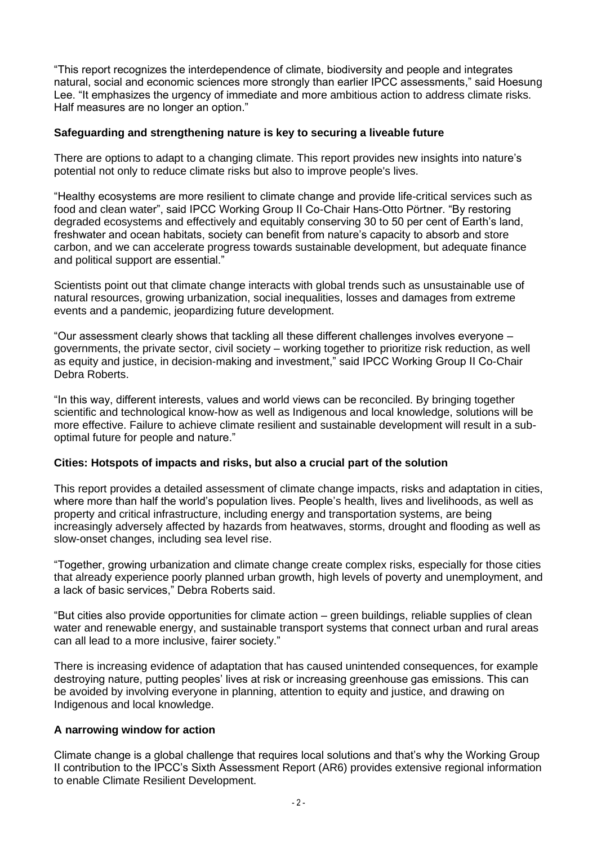"This report recognizes the interdependence of climate, biodiversity and people and integrates natural, social and economic sciences more strongly than earlier IPCC assessments," said Hoesung Lee. "It emphasizes the urgency of immediate and more ambitious action to address climate risks. Half measures are no longer an option."

#### **Safeguarding and strengthening nature is key to securing a liveable future**

There are options to adapt to a changing climate. This report provides new insights into nature's potential not only to reduce climate risks but also to improve people's lives.

"Healthy ecosystems are more resilient to climate change and provide life-critical services such as food and clean water", said IPCC Working Group II Co-Chair Hans-Otto Pörtner. "By restoring degraded ecosystems and effectively and equitably conserving 30 to 50 per cent of Earth's land, freshwater and ocean habitats, society can benefit from nature's capacity to absorb and store carbon, and we can accelerate progress towards sustainable development, but adequate finance and political support are essential."

Scientists point out that climate change interacts with global trends such as unsustainable use of natural resources, growing urbanization, social inequalities, losses and damages from extreme events and a pandemic, jeopardizing future development.

"Our assessment clearly shows that tackling all these different challenges involves everyone – governments, the private sector, civil society – working together to prioritize risk reduction, as well as equity and justice, in decision-making and investment," said IPCC Working Group II Co-Chair Debra Roberts.

"In this way, different interests, values and world views can be reconciled. By bringing together scientific and technological know-how as well as Indigenous and local knowledge, solutions will be more effective. Failure to achieve climate resilient and sustainable development will result in a suboptimal future for people and nature."

#### **Cities: Hotspots of impacts and risks, but also a crucial part of the solution**

This report provides a detailed assessment of climate change impacts, risks and adaptation in cities, where more than half the world's population lives. People's health, lives and livelihoods, as well as property and critical infrastructure, including energy and transportation systems, are being increasingly adversely affected by hazards from heatwaves, storms, drought and flooding as well as slow-onset changes, including sea level rise.

"Together, growing urbanization and climate change create complex risks, especially for those cities that already experience poorly planned urban growth, high levels of poverty and unemployment, and a lack of basic services," Debra Roberts said.

"But cities also provide opportunities for climate action – green buildings, reliable supplies of clean water and renewable energy, and sustainable transport systems that connect urban and rural areas can all lead to a more inclusive, fairer society."

There is increasing evidence of adaptation that has caused unintended consequences, for example destroying nature, putting peoples' lives at risk or increasing greenhouse gas emissions. This can be avoided by involving everyone in planning, attention to equity and justice, and drawing on Indigenous and local knowledge.

# **A narrowing window for action**

Climate change is a global challenge that requires local solutions and that's why the Working Group II contribution to the IPCC's Sixth Assessment Report (AR6) provides extensive regional information to enable Climate Resilient Development.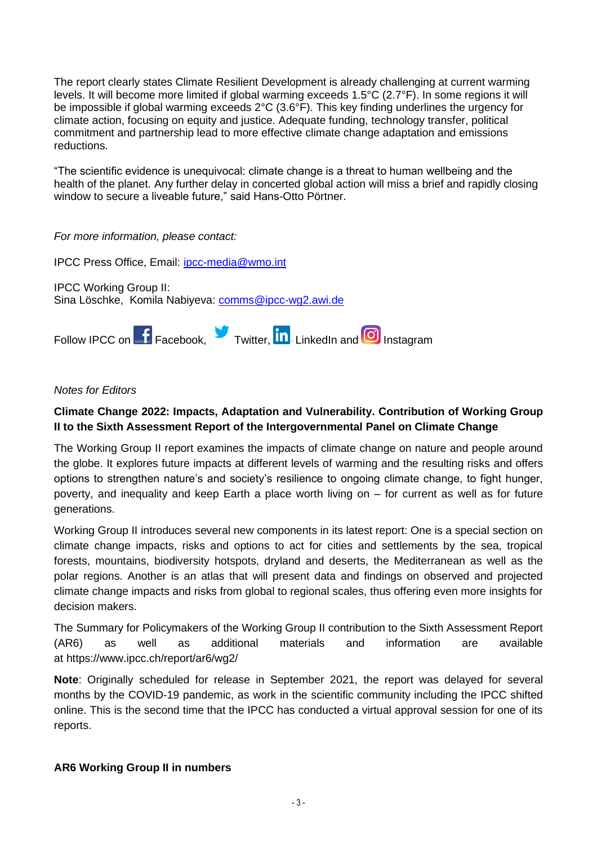The report clearly states Climate Resilient Development is already challenging at current warming levels. It will become more limited if global warming exceeds 1.5°C (2.7°F). In some regions it will be impossible if global warming exceeds 2°C (3.6°F). This key finding underlines the urgency for climate action, focusing on equity and justice. Adequate funding, technology transfer, political commitment and partnership lead to more effective climate change adaptation and emissions reductions.

"The scientific evidence is unequivocal: climate change is a threat to human wellbeing and the health of the planet. Any further delay in concerted global action will miss a brief and rapidly closing window to secure a liveable future," said Hans-Otto Pörtner.

# *For more information, please contact:*

IPCC Press Office, Email: [ipcc-media@wmo.int](mailto:ipcc-media@wmo.int) 

IPCC Working Group II: Sina Löschke, Komila Nabiyeva: [comms@ipcc-wg2.awi.de](mailto:comms@ipcc-wg2.awi.de)



## *Notes for Editors*

# **Climate Change 2022: Impacts, Adaptation and Vulnerability. Contribution of Working Group II to the Sixth Assessment Report of the Intergovernmental Panel on Climate Change**

The Working Group II report examines the impacts of climate change on nature and people around the globe. It explores future impacts at different levels of warming and the resulting risks and offers options to strengthen nature's and society's resilience to ongoing climate change, to fight hunger, poverty, and inequality and keep Earth a place worth living on – for current as well as for future generations.

Working Group II introduces several new components in its latest report: One is a special section on climate change impacts, risks and options to act for cities and settlements by the sea, tropical forests, mountains, biodiversity hotspots, dryland and deserts, the Mediterranean as well as the polar regions. Another is an atlas that will present data and findings on observed and projected climate change impacts and risks from global to regional scales, thus offering even more insights for decision makers.

The Summary for Policymakers of the Working Group II contribution to the Sixth Assessment Report (AR6) as well as additional materials and information are available at https://www.ipcc.ch/report/ar6/wg2/

**Note**: Originally scheduled for release in September 2021, the report was delayed for several months by the COVID-19 pandemic, as work in the scientific community including the IPCC shifted online. This is the second time that the IPCC has conducted a virtual approval session for one of its reports.

#### **AR6 Working Group II in numbers**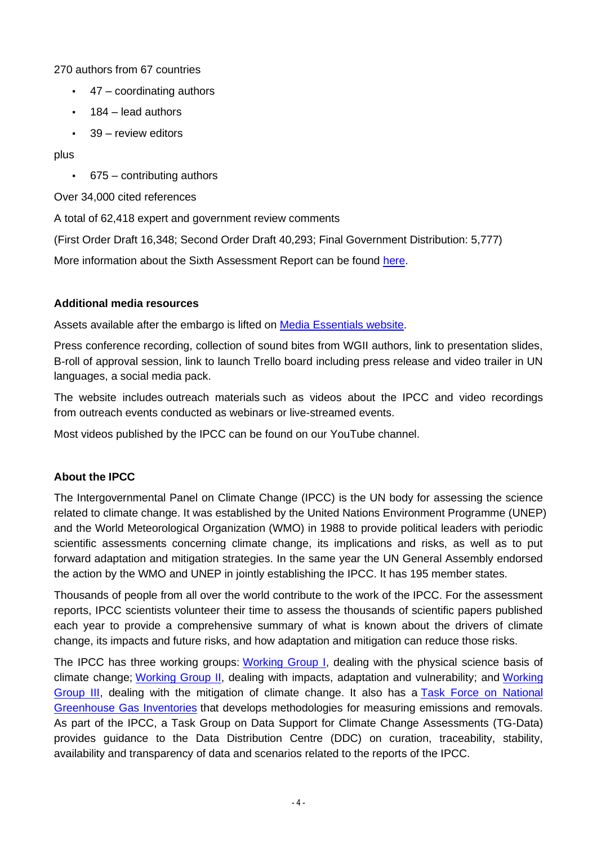270 authors from 67 countries

- $\cdot$  47 coordinating authors
- 184 lead authors
- 39 review editors

plus

▪ 675 – contributing authors

Over 34,000 cited references

A total of 62,418 expert and government review comments

(First Order Draft 16,348; Second Order Draft 40,293; Final Government Distribution: 5,777)

More information about the Sixth Assessment Report can be found [here.](https://www.ipcc.ch/assessment-report/ar6/)

### **Additional media resources**

Assets available after the embargo is lifted on **Media Essentials website**.

Press conference recording, collection of sound bites from WGII authors, link to presentation slides, B-roll of approval session, link to launch Trello board including press release and video trailer in UN languages, a social media pack.

The website includes [outreach materials](https://www.ipcc.ch/outreach-material/) such as videos about the IPCC and video recordings from [outreach events](https://apps.ipcc.ch/outreach/) conducted as webinars or live-streamed events.

Most videos published by the IPCC can be found on our [YouTube](https://www.youtube.com/user/IPCCGeneva) channel.

# **About the IPCC**

The Intergovernmental Panel on Climate Change (IPCC) is the UN body for assessing the science related to climate change. It was established by the United Nations Environment Programme (UNEP) and the World Meteorological Organization (WMO) in 1988 to provide political leaders with periodic scientific assessments concerning climate change, its implications and risks, as well as to put forward adaptation and mitigation strategies. In the same year the UN General Assembly endorsed the action by the WMO and UNEP in jointly establishing the IPCC. It has 195 member states.

Thousands of people from all over the world contribute to the work of the IPCC. For the assessment reports, IPCC scientists volunteer their time to assess the thousands of scientific papers published each year to provide a comprehensive summary of what is known about the drivers of climate change, its impacts and future risks, and how adaptation and mitigation can reduce those risks.

The IPCC has three working groups: [Working Group I,](https://www.ipcc.ch/working-group/wg1/) dealing with the physical science basis of climate change; [Working Group II,](https://www.ipcc.ch/working-group/wg2/) dealing with impacts, adaptation and vulnerability; and [Working](https://www.ipcc.ch/working-group/wg3/)  [Group III,](https://www.ipcc.ch/working-group/wg3/) dealing with the mitigation of climate change. It also has a [Task Force on National](https://www.ipcc.ch/working-group/tfi/)  [Greenhouse Gas Inventories](https://www.ipcc.ch/working-group/tfi/) that develops methodologies for measuring emissions and removals. As part of the IPCC, a Task Group on Data Support for Climate Change Assessments (TG-Data) provides guidance to the Data Distribution Centre (DDC) on curation, traceability, stability, availability and transparency of data and scenarios related to the reports of the IPCC.